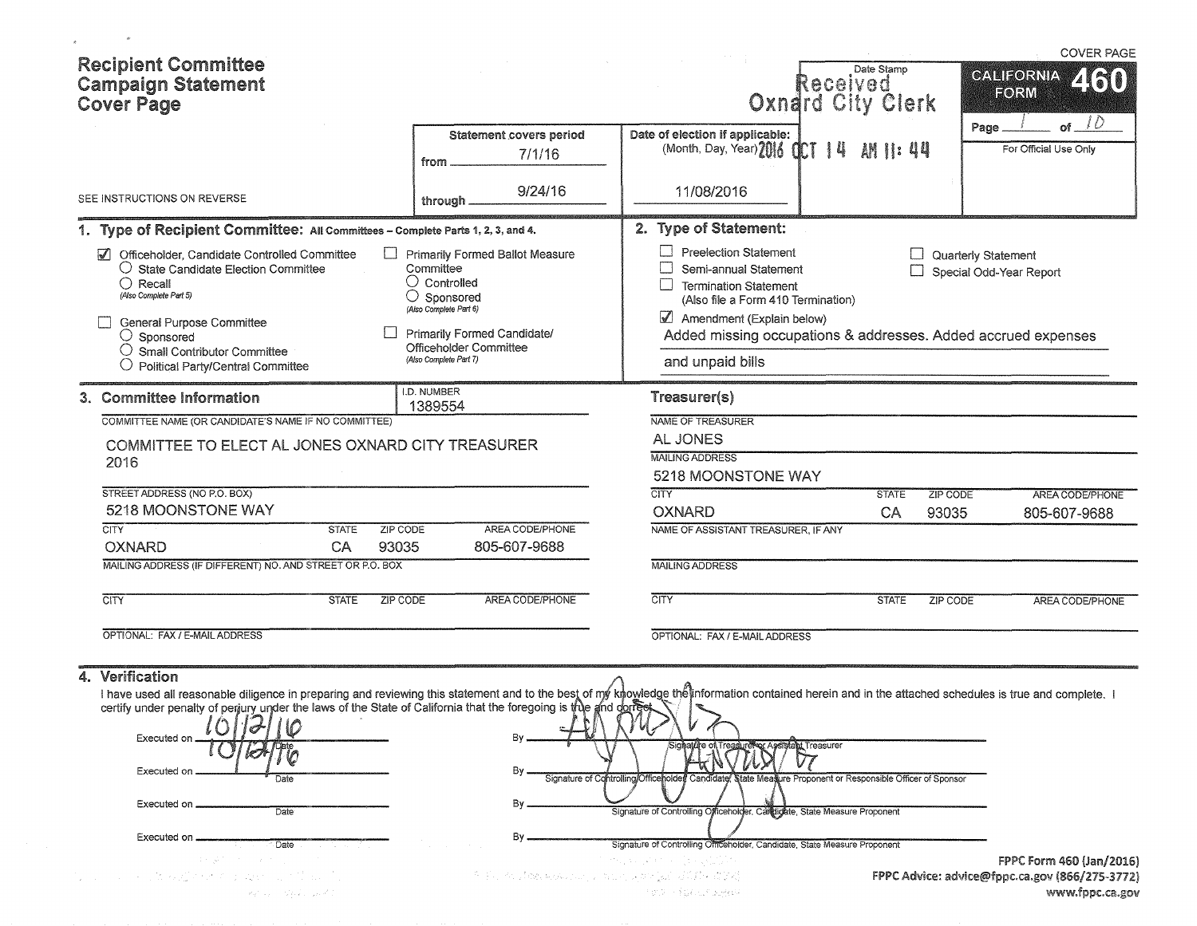|             | <b>Recipient Committee</b><br><b>Campaign Statement</b><br><b>Cover Page</b>                                                                                                                                                                                                                                                                                                                                                                                                                                                                                                                                                                                                                                                                                                                                                                                        |              |                 |                                                                                                                                      |                                                                       |                                                                                                                                                                                                                                                    | Received<br>Oxnard City Clerk                             | Date Stamp   |                 | <b>COVER PAGE</b><br><b>CALIFORNIA</b><br>ARI)<br>FORM            |
|-------------|---------------------------------------------------------------------------------------------------------------------------------------------------------------------------------------------------------------------------------------------------------------------------------------------------------------------------------------------------------------------------------------------------------------------------------------------------------------------------------------------------------------------------------------------------------------------------------------------------------------------------------------------------------------------------------------------------------------------------------------------------------------------------------------------------------------------------------------------------------------------|--------------|-----------------|--------------------------------------------------------------------------------------------------------------------------------------|-----------------------------------------------------------------------|----------------------------------------------------------------------------------------------------------------------------------------------------------------------------------------------------------------------------------------------------|-----------------------------------------------------------|--------------|-----------------|-------------------------------------------------------------------|
|             |                                                                                                                                                                                                                                                                                                                                                                                                                                                                                                                                                                                                                                                                                                                                                                                                                                                                     |              |                 | from                                                                                                                                 | <b>Statement covers period</b><br>7/1/16                              | Date of election if applicable:<br>(Month, Day, Year) 2016 0CT   4                                                                                                                                                                                 |                                                           | AM II: 44    |                 | 10<br>Page<br>οf<br>For Official Use Only                         |
|             | SEE INSTRUCTIONS ON REVERSE                                                                                                                                                                                                                                                                                                                                                                                                                                                                                                                                                                                                                                                                                                                                                                                                                                         |              |                 | through.                                                                                                                             | 9/24/16                                                               | 11/08/2016                                                                                                                                                                                                                                         |                                                           |              |                 |                                                                   |
|             | 1. Type of Recipient Committee: All Committees - Complete Parts 1, 2, 3, and 4.                                                                                                                                                                                                                                                                                                                                                                                                                                                                                                                                                                                                                                                                                                                                                                                     |              |                 |                                                                                                                                      |                                                                       | 2. Type of Statement:                                                                                                                                                                                                                              |                                                           |              |                 |                                                                   |
| $\sqrt{ }$  | Officeholder, Candidate Controlled Committee<br>$\bigcirc$ State Candidate Election Committee<br>$\bigcirc$ Recall<br>(Also Complete Part 5)<br>General Purpose Committee<br>$\bigcirc$ Sponsored<br>$\bigcirc$ Small Contributor Committee<br>Political Party/Central Committee                                                                                                                                                                                                                                                                                                                                                                                                                                                                                                                                                                                    |              |                 | Committee<br>$\cup$ Controlled<br>$\bigcirc$ Sponsored<br>(Also Complete Part 6)<br>Officeholder Committee<br>(Also Complete Part 7) | <b>Primarily Formed Ballot Measure</b><br>Primarily Formed Candidate/ | $\Box$ Preelection Statement<br>Semi-annual Statement<br><b>Termination Statement</b><br>(Also file a Form 410 Termination)<br>Amendment (Explain below)<br>Added missing occupations & addresses. Added accrued expenses<br>and unpaid bills      |                                                           |              |                 | Quarterly Statement<br>Special Odd-Year Report                    |
|             | 3. Committee Information                                                                                                                                                                                                                                                                                                                                                                                                                                                                                                                                                                                                                                                                                                                                                                                                                                            |              |                 | I.D. NUMBER<br>1389554                                                                                                               |                                                                       | Treasurer(s)                                                                                                                                                                                                                                       |                                                           |              |                 |                                                                   |
|             | COMMITTEE NAME (OR CANDIDATE'S NAME IF NO COMMITTEE)                                                                                                                                                                                                                                                                                                                                                                                                                                                                                                                                                                                                                                                                                                                                                                                                                |              |                 |                                                                                                                                      |                                                                       | NAME OF TREASURER                                                                                                                                                                                                                                  |                                                           |              |                 |                                                                   |
|             | COMMITTEE TO ELECT AL JONES OXNARD CITY TREASURER<br>2016                                                                                                                                                                                                                                                                                                                                                                                                                                                                                                                                                                                                                                                                                                                                                                                                           |              |                 |                                                                                                                                      |                                                                       | AL JONES<br><b>MAILING ADDRESS</b><br>5218 MOONSTONE WAY                                                                                                                                                                                           |                                                           |              |                 |                                                                   |
|             | STREET ADDRESS (NO P.O. BOX)                                                                                                                                                                                                                                                                                                                                                                                                                                                                                                                                                                                                                                                                                                                                                                                                                                        |              |                 |                                                                                                                                      |                                                                       | <b>CITY</b>                                                                                                                                                                                                                                        |                                                           | <b>STATE</b> | <b>ZIP CODE</b> | AREA CODE/PHONE                                                   |
| <b>CITY</b> | 5218 MOONSTONE WAY                                                                                                                                                                                                                                                                                                                                                                                                                                                                                                                                                                                                                                                                                                                                                                                                                                                  | <b>STATE</b> | <b>ZIP CODE</b> |                                                                                                                                      | AREA CODE/PHONE                                                       | <b>OXNARD</b>                                                                                                                                                                                                                                      |                                                           | CA           | 93035           | 805-607-9688                                                      |
|             | <b>OXNARD</b>                                                                                                                                                                                                                                                                                                                                                                                                                                                                                                                                                                                                                                                                                                                                                                                                                                                       | CA           | 93035           |                                                                                                                                      | 805-607-9688                                                          | NAME OF ASSISTANT TREASURER. IF ANY                                                                                                                                                                                                                |                                                           |              |                 |                                                                   |
|             | MAILING ADDRESS (IF DIFFERENT) NO. AND STREET OR P.O. BOX                                                                                                                                                                                                                                                                                                                                                                                                                                                                                                                                                                                                                                                                                                                                                                                                           |              |                 |                                                                                                                                      |                                                                       | <b>MAILING ADDRESS</b>                                                                                                                                                                                                                             |                                                           |              |                 |                                                                   |
| <b>CITY</b> |                                                                                                                                                                                                                                                                                                                                                                                                                                                                                                                                                                                                                                                                                                                                                                                                                                                                     | <b>STATE</b> | <b>ZIP CODE</b> |                                                                                                                                      | AREA CODE/PHONE                                                       | <b>CITY</b>                                                                                                                                                                                                                                        |                                                           | <b>STATE</b> | <b>ZIP CODE</b> | AREA CODE/PHONE                                                   |
|             | OPTIONAL: FAX / E-MAIL ADDRESS                                                                                                                                                                                                                                                                                                                                                                                                                                                                                                                                                                                                                                                                                                                                                                                                                                      |              |                 |                                                                                                                                      |                                                                       | OPTIONAL: FAX / E-MAIL ADDRESS                                                                                                                                                                                                                     |                                                           |              |                 |                                                                   |
| 4.          | Verification<br>I have used all reasonable diligence in preparing and reviewing this statement and to the best of my knowledge the information contained herein and in the attached schedules is true and complete. I<br>certify under penalty of perjury under the laws of the State of California that the foregoing is the and dorleaf<br>$\left  \right $ $\left  \right $ $\left  \right $ $\left  \right $ $\left  \right $ $\left  \right $ $\left  \right $ $\left  \right $ $\left  \right $ $\left  \right $ $\left  \right $ $\left  \right $ $\left  \right $ $\left  \right $ $\left  \right $ $\left  \right $ $\left  \right $ $\left  \right $ $\left  \right $ $\left  \right $ $\left  \right $ $\left  \right $ $\left  \right $ $\left  \right $ $\left  \$<br>Executed or<br>Executed on<br>Date<br>Executed on<br>Date<br>Executed on<br>Date |              |                 |                                                                                                                                      | By.<br>By.                                                            | Treasiurel vor Assistant Treasurer<br>ature of<br>Signature of Controlling/Officenoide#<br>Signature of Controlling Officeholder, Campiglate, State Measure Proponent<br>Signature of Controlling Officeholder, Candidate, State Measure Proponent | State Measure Proponent or Responsible Officer of Sponsor |              |                 | FPPC Form 460 (Jan/2016)                                          |
|             | , to keep a series against the sub-<br>retail and the following                                                                                                                                                                                                                                                                                                                                                                                                                                                                                                                                                                                                                                                                                                                                                                                                     |              |                 |                                                                                                                                      |                                                                       | ih iš kontrologija u provincija pred kontrologija i predstavlja (predstavlja i predstavlja i predstavlja i pre<br>清水源 计系数组元件试验数据                                                                                                                   |                                                           |              |                 | FPPC Advice: advice@fppc.ca.gov (866/275-3772)<br>www.fppc.ca.gov |

 $\alpha$ 

erppc.ca.gov (۱۵۵۶-۱۶۵۶)<br>www.fppc.ca.gov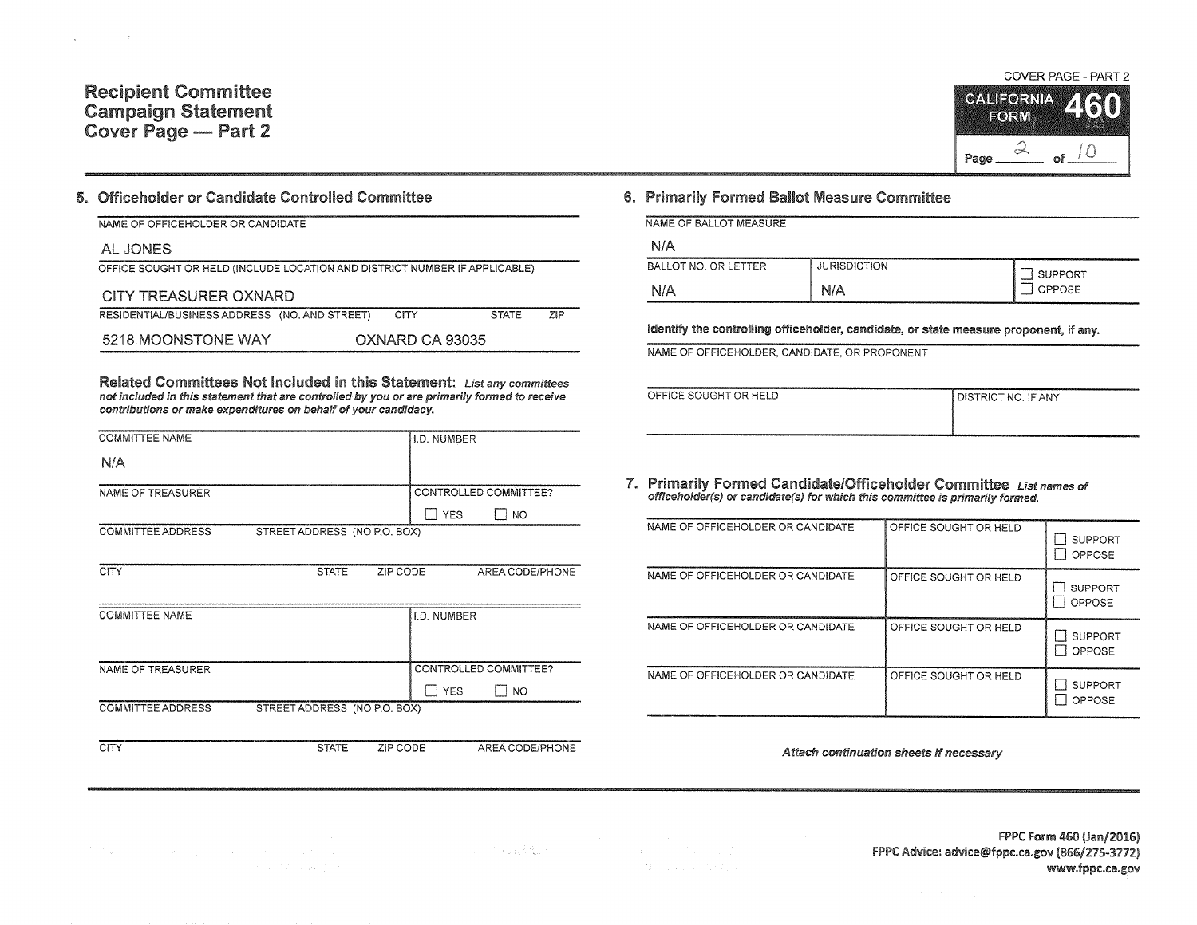#### Recipient Committee Campaign Statement Cover Page - Part 2

#### 5. Officeholder or Candidate Controlled Committee

| NAME OF OFFICEHOLDER OR CANDIDATE                                          |  |                 |              |            |  |  |  |  |
|----------------------------------------------------------------------------|--|-----------------|--------------|------------|--|--|--|--|
| AL JONES                                                                   |  |                 |              |            |  |  |  |  |
| OFFICE SOUGHT OR HELD (INCLUDE LOCATION AND DISTRICT NUMBER IF APPLICABLE) |  |                 |              |            |  |  |  |  |
| CITY TREASURER OXNARD                                                      |  |                 |              |            |  |  |  |  |
| RESIDENTIAL/BUSINESS ADDRESS (NO. AND STREET)                              |  | <b>CITY</b>     | <b>STATE</b> | <b>ZIP</b> |  |  |  |  |
| 5218 MOONSTONE WAY                                                         |  | OXNARD CA 93035 |              |            |  |  |  |  |

Related Committees Not Included in this Statement: List any committees not included in this statement that are controlled by you or are primarily formed to receive contributions or make expenditures on behalf of your candidacy.

| <b>COMMITTEE NAME</b>    |                              | <b>I.D. NUMBER</b>    |
|--------------------------|------------------------------|-----------------------|
| N/A                      |                              |                       |
| NAME OF TREASURER        |                              | CONTROLLED COMMITTEE? |
|                          |                              | <b>YES</b><br>NO      |
| <b>COMMITTEE ADDRESS</b> | STREET ADDRESS (NO P.O. BOX) |                       |
| CITY                     | <b>STATE</b><br>ZIP CODE     | AREA CODE/PHONE       |

| <b>COMMITTEE NAME</b>                                    | I.D. NUMBER           |
|----------------------------------------------------------|-----------------------|
|                                                          |                       |
|                                                          |                       |
| NAME OF TREASURER                                        | CONTROLLED COMMITTEE? |
|                                                          | <b>YES</b><br>NO      |
| <b>COMMITTEE ADDRESS</b><br>STREET ADDRESS (NO P.O. BOX) |                       |
|                                                          |                       |

CITY STATE ZIP CODE AREA CODE/PHONE

n go

### S. Primarily Formed Ballot Measure Committee

| NAME OF BALLOT MEASURE |                     |                |
|------------------------|---------------------|----------------|
| N/A                    |                     |                |
| BALLOT NO. OR LETTER   | <b>JURISDICTION</b> | <b>SUPPORT</b> |
| N/A                    | N/A                 | <b>OPPOSE</b>  |

Identify the controlling officeholder, candidate, or state measure proponent, if any.

NAME OF OFFICEHOLDER, CANDIDATE, OR PROPONENT

| OFFICE SOUGHT OR HELD | I DISTRICT NO. IF ANY |
|-----------------------|-----------------------|
|                       |                       |
|                       |                       |
| ------------          |                       |

7. Primarily Formed Candidate/Officeholder Committee List names of officeholder(s) or candidate(s) for which this committee is primarily formed.

| NAME OF OFFICEHOLDER OR CANDIDATE | OFFICE SOUGHT OR HELD | <b>SUPPORT</b><br>OPPOSE        |
|-----------------------------------|-----------------------|---------------------------------|
| NAME OF OFFICEHOLDER OR CANDIDATE | OFFICE SOUGHT OR HELD | <b>SUPPORT</b><br><b>OPPOSE</b> |
| NAME OF OFFICEHOLDER OR CANDIDATE | OFFICE SOUGHT OR HELD | <b>SUPPORT</b><br>OPPOSE        |
| NAME OF OFFICEHOLDER OR CANDIDATE | OFFICE SOUGHT OR HELD | <b>SUPPORT</b><br>OPPOSE        |

Attach continuation sheets if necessary

COVER PAGE - PART 2 **CALIFORNIA** 

EORM

Page

FPPC: Form 460 (Jan/2016) FPPC Advice: advice@fppc.ca.gov (866/275-3772) www.fppc.ca.gov

不能被转换的 化二氯化二氯化二氯化二氯化二氯 Technology of the car

# and the same probability of the same state of the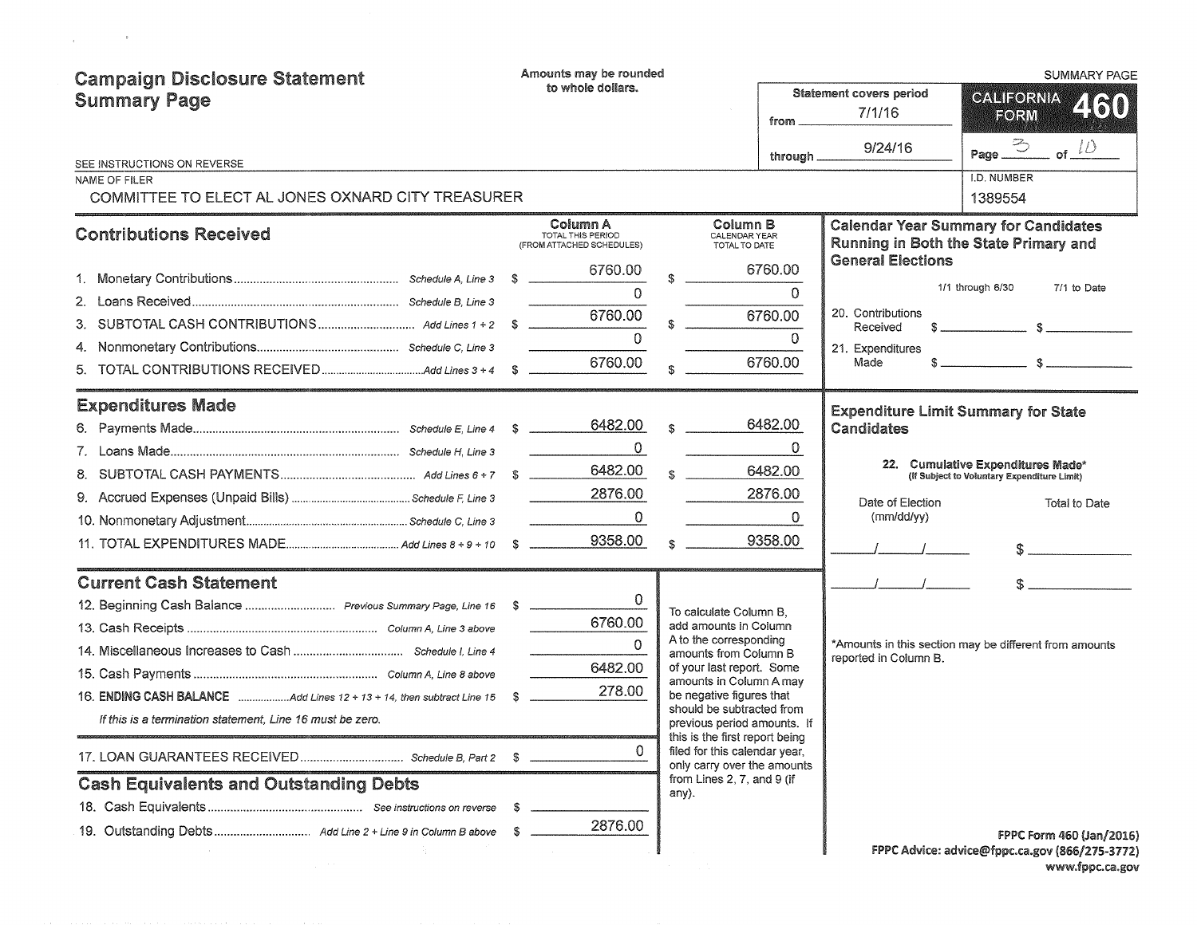| <b>Campaign Disclosure Statement</b><br><b>Summary Page</b><br>SEE INSTRUCTIONS ON REVERSE<br>NAME OF FILER                                                                                                                                                                                                                                                                                        | Amounts may be rounded<br>to whole dollars.                                      | from.<br>through $\overline{\phantom{a}}$                                                                                                                                                                                                                                                                                                                                                   | <b>Statement covers period</b><br>7/1/16<br>9/24/16                                        | <b>SUMMARY PAGE</b><br>CALIFORNIA<br>450<br>FORM<br>$\bigodot$<br>of $\iota$<br>Page_<br>I.D. NUMBER |
|----------------------------------------------------------------------------------------------------------------------------------------------------------------------------------------------------------------------------------------------------------------------------------------------------------------------------------------------------------------------------------------------------|----------------------------------------------------------------------------------|---------------------------------------------------------------------------------------------------------------------------------------------------------------------------------------------------------------------------------------------------------------------------------------------------------------------------------------------------------------------------------------------|--------------------------------------------------------------------------------------------|------------------------------------------------------------------------------------------------------|
| COMMITTEE TO ELECT AL JONES OXNARD CITY TREASURER<br><b>Contributions Received</b>                                                                                                                                                                                                                                                                                                                 | Column A<br>TOTAL THIS PERIOD<br>(FROM ATTACHED SCHEDULES)                       | Column B<br>CALENDAR YEAR<br>TOTAL TO DATE                                                                                                                                                                                                                                                                                                                                                  |                                                                                            | 1389554<br><b>Calendar Year Summary for Candidates</b><br>Running in Both the State Primary and      |
| 5.                                                                                                                                                                                                                                                                                                                                                                                                 | 6760.00<br>$\Omega$<br>6760.00<br>$\Omega$<br>6760.00                            | 6760.00<br>$\Omega$<br>6760.00<br>$\Omega$<br>6760.00                                                                                                                                                                                                                                                                                                                                       | <b>General Elections</b><br>20. Contributions<br>Received<br>21. Expenditures<br>Made      | 1/1 through 6/30<br>7/1 to Date                                                                      |
| <b>Expenditures Made</b>                                                                                                                                                                                                                                                                                                                                                                           | 6482.00<br>$\mathbf{0}$<br>6482.00<br>2876.00<br>$\mathbf 0$<br>9358.00          | 6482.00<br>\$.<br>$\Omega$<br>6482.00<br>$\mathcal{R}$<br>2876.00<br>$\Omega$<br>9358.00                                                                                                                                                                                                                                                                                                    | <b>Expenditure Limit Summary for State</b><br>Candidates<br>Date of Election<br>(mm/dd/yy) | 22. Cumulative Expenditures Made*<br>(If Subject to Voluntary Expenditure Limit)<br>Total to Date    |
| <b>Current Cash Statement</b><br>12. Beginning Cash Balance  Previous Summary Page, Line 16 \$<br>16. <b>ENDING CASH BALANCE</b> $\ldots$ , $\ldots$ , $\ldots$ , $\ldots$ , $\ldots$ , $\ldots$ , and $\ldots$ are nubset to $\ldots$ are nubset to $\ldots$ are nubset to $\ldots$<br>If this is a termination statement, Line 16 must be zero.<br><b>Cash Equivalents and Outstanding Debts</b> | $\Omega$<br>6760.00<br>$\Omega$<br>6482.00<br>278.00<br>-S<br>0<br>S.<br>2876.00 | To calculate Column B.<br>add amounts in Column<br>A to the corresponding<br>amounts from Column B<br>of your last report. Some<br>amounts in Column A may<br>be negative figures that<br>should be subtracted from<br>previous period amounts. If<br>this is the first report being<br>filed for this calendar year,<br>only carry over the amounts<br>from Lines 2, 7, and 9 (if<br>any). | reported in Column B.                                                                      | *Amounts in this section may be different from amounts<br><b>FPPC Form 460 (Jan/2016)</b>            |

 $\label{eq:2.1} \mathcal{L} = \frac{1}{2} \sum_{i=1}^n \frac{1}{2} \sum_{i=1}^n \frac{1}{2} \sum_{i=1}^n \frac{1}{2} \sum_{i=1}^n \frac{1}{2} \sum_{i=1}^n \frac{1}{2} \sum_{i=1}^n \frac{1}{2} \sum_{i=1}^n \frac{1}{2} \sum_{i=1}^n \frac{1}{2} \sum_{i=1}^n \frac{1}{2} \sum_{i=1}^n \frac{1}{2} \sum_{i=1}^n \frac{1}{2} \sum_{i=1}^n \frac{1}{2} \sum_{i=$ 

FPPC Advice: advice@fppc.ca.gov (866/275-3772) www.fppc.ca.gov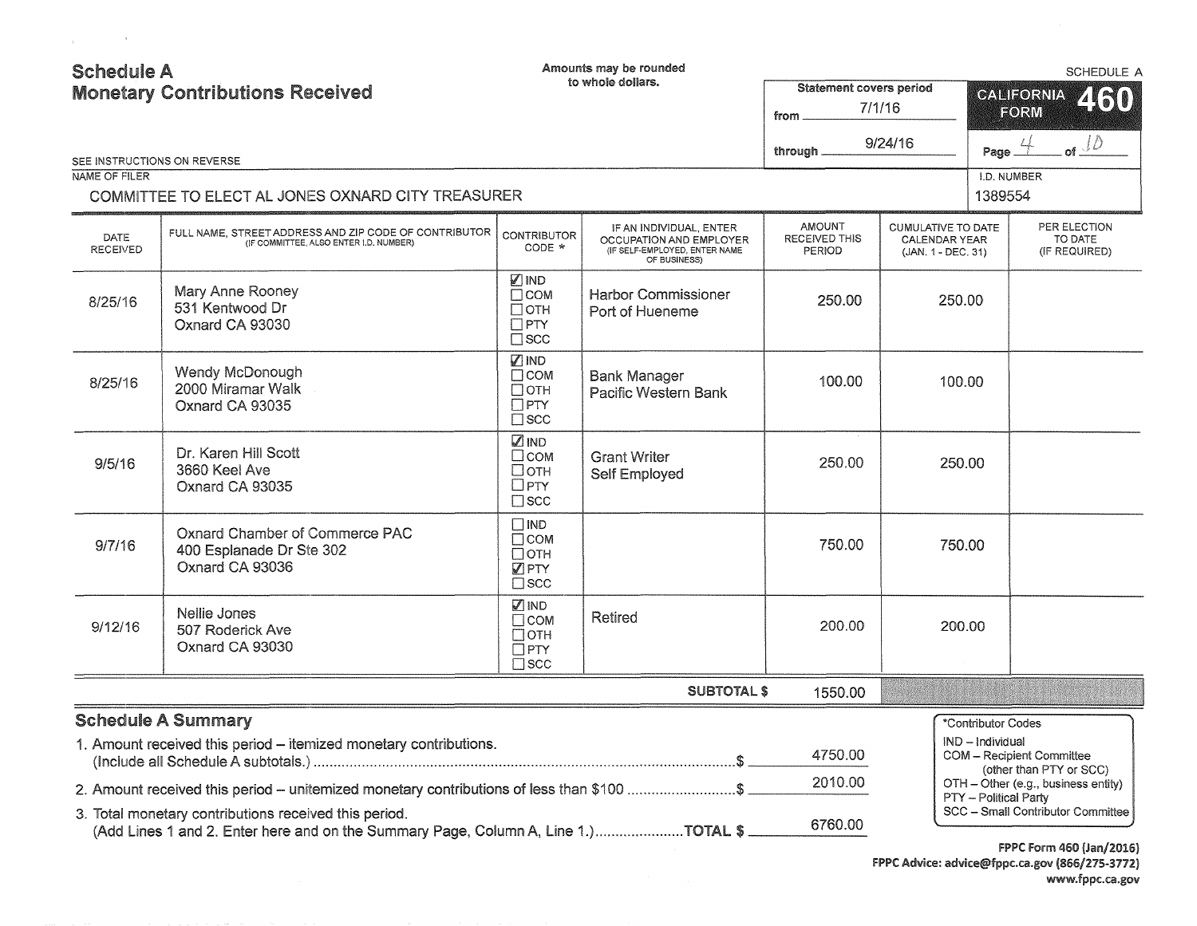| <b>Schedule A</b>                                                                        | <b>Monetary Contributions Received</b>                                                                                                      |                                                                              | Amounts may be rounded<br>to whole dollars.                                                         | Statement covers period<br>from                      | 7/1/16<br>9/24/16                                                | <b>SCHEDULE A</b><br><b>CALIFORNIA</b><br>2130<br>FORM |                                                                                            |  |
|------------------------------------------------------------------------------------------|---------------------------------------------------------------------------------------------------------------------------------------------|------------------------------------------------------------------------------|-----------------------------------------------------------------------------------------------------|------------------------------------------------------|------------------------------------------------------------------|--------------------------------------------------------|--------------------------------------------------------------------------------------------|--|
|                                                                                          | SEE INSTRUCTIONS ON REVERSE                                                                                                                 |                                                                              |                                                                                                     | through.                                             |                                                                  | Page                                                   | of $\mathcal{L}$                                                                           |  |
| NAME OF FILER                                                                            |                                                                                                                                             |                                                                              |                                                                                                     |                                                      |                                                                  | I.D. NUMBER                                            |                                                                                            |  |
|                                                                                          | COMMITTEE TO ELECT AL JONES OXNARD CITY TREASURER                                                                                           |                                                                              |                                                                                                     |                                                      |                                                                  | 1389554                                                |                                                                                            |  |
| DATE<br><b>RECEIVED</b>                                                                  | FULL NAME. STREET ADDRESS AND ZIP CODE OF CONTRIBUTOR<br>(IF COMMITTEE, ALSO ENTER I.D. NUMBER)                                             | <b>CONTRIBUTOR</b><br>CODE *                                                 | IF AN INDIVIDUAL, ENTER<br>OCCUPATION AND EMPLOYER<br>(IF SELF-EMPLOYED, ENTER NAME<br>OF BUSINESS) | <b>AMOUNT</b><br>RECEIVED THIS<br>PERIOD             | <b>CUMULATIVE TO DATE</b><br>CALENDAR YEAR<br>(JAN. 1 - DEC. 31) |                                                        | PER ELECTION<br>TO DATE<br>(IF REQUIRED)                                                   |  |
| 8/25/16                                                                                  | Mary Anne Rooney<br>531 Kentwood Dr<br>Oxnard CA 93030                                                                                      | <b>ZIND</b><br>$\Box$ COM<br>$\Box$ OTH<br>$\square$ PTY<br>$\Box$ SCC       | <b>Harbor Commissioner</b><br>Port of Hueneme                                                       | 250.00                                               | 250.00                                                           |                                                        |                                                                                            |  |
| 8/25/16                                                                                  | Wendy McDonough<br>2000 Miramar Walk<br>Oxnard CA 93035                                                                                     | $\nabla$ IND<br>$\Box$ COM<br>Потн<br>$\Box$ PTY<br>$\square$ scc            | <b>Bank Manager</b><br>Pacific Western Bank                                                         | 100.00                                               | 100.00                                                           |                                                        |                                                                                            |  |
| 9/5/16                                                                                   | Dr. Karen Hill Scott<br>3660 Keel Ave<br>Oxnard CA 93035                                                                                    | $\sqrt{2}$ IND<br>$\Box$ COM<br>□отн<br>$\square$ PTY<br>$\square$ scc       | <b>Grant Writer</b><br><b>Self Employed</b>                                                         | 250.00                                               | 250.00                                                           |                                                        |                                                                                            |  |
| 9/7/16                                                                                   | Oxnard Chamber of Commerce PAC<br>400 Esplanade Dr Ste 302<br>Oxnard CA 93036                                                               | $\square$ IND<br>$\Box$ COM<br>$\Box$ oth<br>$\sqrt{2}$ PTY<br>$\square$ SCC |                                                                                                     | 750.00                                               | 750.00                                                           |                                                        |                                                                                            |  |
| 9/12/16                                                                                  | Nellie Jones<br>507 Roderick Ave<br>Oxnard CA 93030                                                                                         | ☑IND<br>$\Box$ COM<br>$\Box$ OTH<br>$\Box$ PTY<br>$\Box$ SCC                 | Retired                                                                                             | 200.00                                               | 200.00                                                           |                                                        |                                                                                            |  |
|                                                                                          |                                                                                                                                             |                                                                              | <b>SUBTOTAL \$</b>                                                                                  | 1550.00                                              |                                                                  |                                                        |                                                                                            |  |
|                                                                                          | <b>Schedule A Summary</b>                                                                                                                   |                                                                              |                                                                                                     |                                                      |                                                                  | *Contributor Codes                                     |                                                                                            |  |
|                                                                                          | 1. Amount received this period - itemized monetary contributions.                                                                           |                                                                              | IND - Individual                                                                                    | COM - Recipient Committee<br>(other than PTY or SCC) |                                                                  |                                                        |                                                                                            |  |
| 2. Amount received this period - unitemized monetary contributions of less than \$100 \$ |                                                                                                                                             |                                                                              | OTH - Other (e.g., business entity)                                                                 |                                                      |                                                                  |                                                        |                                                                                            |  |
|                                                                                          | 3. Total monetary contributions received this period.<br>(Add Lines 1 and 2. Enter here and on the Summary Page, Column A, Line 1.)TOTAL \$ |                                                                              |                                                                                                     | 6760.00                                              |                                                                  | PTY - Political Party                                  | SCC - Small Contributor Committee<br>$PSPP$ $P_{\text{max}}$ $RPR$ $P_{\text{max}}$ $PPRP$ |  |

 $\label{eq:2.1} \mathcal{L}=\mathcal{L}(\mathcal{L}^{\text{max}}_{\mathcal{L}^{\text{max}}_{\mathcal{L}^{\text{max}}_{\mathcal{L}^{\text{max}}_{\mathcal{L}^{\text{max}}_{\mathcal{L}^{\text{max}}_{\mathcal{L}^{\text{max}}_{\mathcal{L}^{\text{max}}_{\mathcal{L}^{\text{max}}_{\mathcal{L}^{\text{max}}_{\mathcal{L}^{\text{max}}_{\mathcal{L}^{\text{max}}_{\mathcal{L}^{\text{max}}_{\mathcal{L}^{\text{max}}_{\mathcal{L}^{\text{max}}_{\mathcal{$ 

FPPC Form 460 (Jan/2016) FPPC Advice: advice@fppc.ca.gov (866/275-3772) www.fppc.ca.gov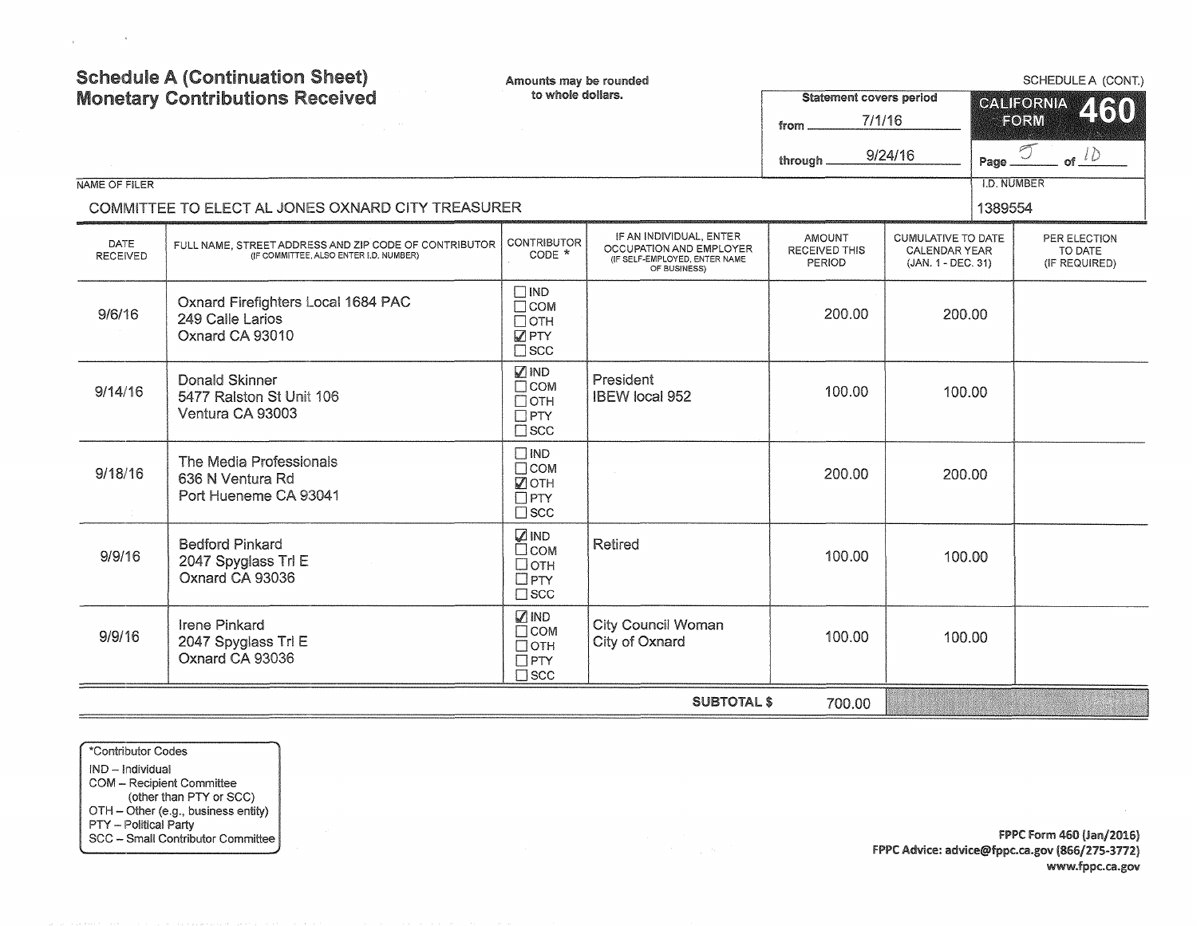| <b>Schedule A (Continuation Sheet)</b><br><b>Monetary Contributions Received</b> |                                                                                                 | Amounts may be rounded<br>to whole dollars.                                |                                                                                                     | <b>Statement covers period</b><br>7/1/16<br>from. |                                                                  | SCHEDULE A (CONT.)<br>CALIFORNIA<br>460<br>FORM |                                          |  |
|----------------------------------------------------------------------------------|-------------------------------------------------------------------------------------------------|----------------------------------------------------------------------------|-----------------------------------------------------------------------------------------------------|---------------------------------------------------|------------------------------------------------------------------|-------------------------------------------------|------------------------------------------|--|
|                                                                                  |                                                                                                 |                                                                            |                                                                                                     | through.                                          | 9/24/16                                                          | Page.                                           | of $\sqrt{D}$                            |  |
| NAME OF FILER                                                                    | COMMITTEE TO ELECT AL JONES OXNARD CITY TREASURER                                               |                                                                            |                                                                                                     |                                                   |                                                                  | <b>I.D. NUMBER</b><br>1389554                   |                                          |  |
| DATE<br><b>RECEIVED</b>                                                          | FULL NAME, STREET ADDRESS AND ZIP CODE OF CONTRIBUTOR<br>(IF COMMITTEE, ALSO ENTER I.D. NUMBER) | <b>CONTRIBUTOR</b><br>$CODE *$                                             | IF AN INDIVIDUAL, ENTER<br>OCCUPATION AND EMPLOYER<br>(IF SELF-EMPLOYED, ENTER NAME<br>OF BUSINESS) | <b>AMOUNT</b><br>RECEIVED THIS<br>PERIOD          | <b>CUMULATIVE TO DATE</b><br>CALENDAR YEAR<br>(JAN. 1 - DEC. 31) |                                                 | PER ELECTION<br>TO DATE<br>(IF REQUIRED) |  |
| 9/6/16                                                                           | Oxnard Firefighters Local 1684 PAC<br>249 Calle Larios<br>Oxnard CA 93010                       | $\square$ IND<br>$\Box$ COM<br>$\Box$ OTH<br><b>D</b> PTY<br>$\square$ scc |                                                                                                     | 200.00                                            | 200.00                                                           |                                                 |                                          |  |
| 9/14/16                                                                          | <b>Donald Skinner</b><br>5477 Ralston St Unit 106<br>Ventura CA 93003                           | <b>Ø</b> IND<br>$\Box$ COM<br>$\Box$ OTH<br>$\Box$ PTY<br>$\square$ scc    | President<br>IBEW local 952                                                                         | 100.00                                            | 100.00                                                           |                                                 |                                          |  |
| 9/18/16                                                                          | The Media Professionals<br>636 N Ventura Rd<br>Port Hueneme CA 93041                            | $\Box$ IND<br>$\Box$ COM<br><b>Ø</b> OTH<br>$\Box$ PTY<br>$\square$ scc    |                                                                                                     | 200.00                                            | 200.00                                                           |                                                 |                                          |  |
| 9/9/16                                                                           | <b>Bedford Pinkard</b><br>2047 Spyglass Trl E<br>Oxnard CA 93036                                | <b>ZIND</b><br>$\square$ COM<br>$\Box$ OTH<br>$\Box$ PTY<br>$\square$ SCC  | Retired                                                                                             | 100.00                                            | 100.00                                                           |                                                 |                                          |  |
| 9/9/16                                                                           | <b>Irene Pinkard</b><br>2047 Spyglass Trl E<br>Oxnard CA 93036                                  | $\nabla$ IND<br>$\Box$ COM<br>$\Box$ OTH<br>$\Box$ PTY<br>$\square$ scc    | <b>City Council Woman</b><br>City of Oxnard                                                         | 100.00                                            | 100.00                                                           |                                                 |                                          |  |
|                                                                                  |                                                                                                 |                                                                            | <b>SUBTOTAL \$</b>                                                                                  | 700.00                                            |                                                                  |                                                 |                                          |  |

\*Contributor Codes IND - Individual COM - Recipient Committee (other than PTY or SCC) OTH - Other (e.g., business entity) PTY - Political Party SCC - Small Contributor Committee

 $\mathcal{L}_{\text{max}}$  and  $\mathcal{L}_{\text{max}}$  and  $\mathcal{L}_{\text{max}}$ 

FPPC Form 460 {Jan/2016) FPPC Advice: advice@fppc.ca.gov (866/275-3772) www.fppc.ca.gov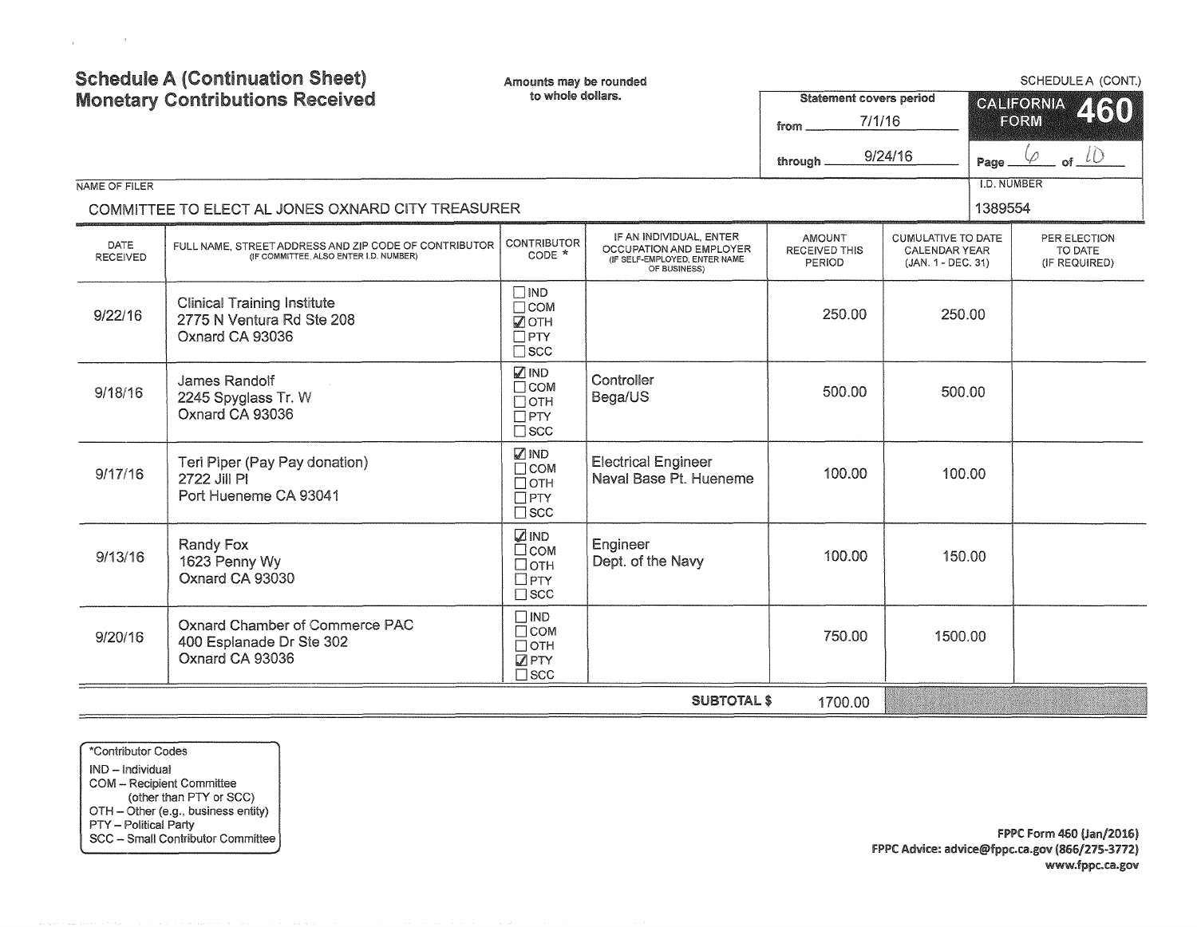| <b>Schedule A (Continuation Sheet)</b><br><b>Monetary Contributions Received</b> |                                                                                                 | Amounts may be rounded<br>to whole dollars.                                  |                                                                                                     | <b>Statement covers period</b><br>7/1/16<br>from       | 9/24/16                                                                 | SCHEDULE A (CONT.)<br><b>GALIFORNIA.</b><br>460<br>FORM |                                          |  |
|----------------------------------------------------------------------------------|-------------------------------------------------------------------------------------------------|------------------------------------------------------------------------------|-----------------------------------------------------------------------------------------------------|--------------------------------------------------------|-------------------------------------------------------------------------|---------------------------------------------------------|------------------------------------------|--|
| NAME OF FILER                                                                    | COMMITTEE TO ELECT AL JONES OXNARD CITY TREASURER                                               |                                                                              |                                                                                                     | through.                                               |                                                                         | Page<br><b>I.D. NUMBER</b><br>1389554                   | of $10$                                  |  |
| DATE<br><b>RECEIVED</b>                                                          | FULL NAME. STREET ADDRESS AND ZIP CODE OF CONTRIBUTOR<br>(IF COMMITTEE, ALSO ENTER I.D. NUMBER) | CONTRIBUTOR<br>CODE *                                                        | IF AN INDIVIDUAL, ENTER<br>OCCUPATION AND EMPLOYER<br>(IF SELF-EMPLOYED, ENTER NAME<br>OF BUSINESS) | <b>AMOUNT</b><br><b>RECEIVED THIS</b><br><b>PERIOD</b> | <b>CUMULATIVE TO DATE</b><br><b>CALENDAR YEAR</b><br>(JAN. 1 - DEC. 31) |                                                         | PER ELECTION<br>TO DATE<br>(IF REQUIRED) |  |
| 9/22/16                                                                          | <b>Clinical Training Institute</b><br>2775 N Ventura Rd Ste 208<br>Oxnard CA 93036              | $\square$ IND<br>$\Box$ COM<br>$\sqrt{2}$ OTH<br>$\Box$ PTY<br>$\square$ scc |                                                                                                     | 250.00                                                 | 250.00                                                                  |                                                         |                                          |  |
| 9/18/16                                                                          | James Randolf<br>2245 Spyglass Tr. W<br>Oxnard CA 93036                                         | √ IND<br>$\Box$ COM<br>$\Box$ OTH<br>$\Box$ PTY<br>$\square$ scc             | Controller<br>Bega/US                                                                               | 500.00                                                 | 500.00                                                                  |                                                         |                                          |  |
| 9/17/16                                                                          | Teri Piper (Pay Pay donation)<br>2722 Jill PI<br>Port Hueneme CA 93041                          | √IND<br>$\Box$ COM<br>$\Box$ OTH<br>$\Box$ PTY<br>$\square$ scc              | <b>Electrical Engineer</b><br>Naval Base Pt. Hueneme                                                | 100.00                                                 | 100.00                                                                  |                                                         |                                          |  |
| 9/13/16                                                                          | Randy Fox<br>1623 Penny Wy<br>Oxnard CA 93030                                                   | <b>ZIND</b><br>$\Box$ COM<br>□отн<br>$\Box$ PTY<br>$\square$ SCC             | Engineer<br>Dept. of the Navy                                                                       | 100.00                                                 | 150.00                                                                  |                                                         |                                          |  |
| 9/20/16                                                                          | <b>Oxnard Chamber of Commerce PAC</b><br>400 Esplanade Dr Ste 302<br>Oxnard CA 93036            | $\square$ IND<br>$\Box$ COM<br>$\Box$ OTH<br><b>ØPTY</b><br>$\square$ scc    |                                                                                                     | 750.00                                                 | 1500.00                                                                 |                                                         |                                          |  |
|                                                                                  |                                                                                                 |                                                                              | <b>SUBTOTAL \$</b>                                                                                  | 1700.00                                                |                                                                         |                                                         |                                          |  |

\*Contributor Codes IND - Individual COM - Recipient Committee (other than PTY or SCC) OTH - Other (e.g., business entity) PTY - Political Party SCC - Small Contributor Committee

 $\label{eq:1} \mathbf{E} = \mathbf{E} \mathbf{E} \mathbf{E} + \mathbf{E} \mathbf{E} \mathbf{E} \mathbf{E} + \mathbf{E} \mathbf{E} \mathbf{E} \mathbf{E}$ 

FPPC Form 460 (Jan/2016) FPPC Advice: advice@fppc.ca.gov (866/275-3112) www.fppc.ca.gov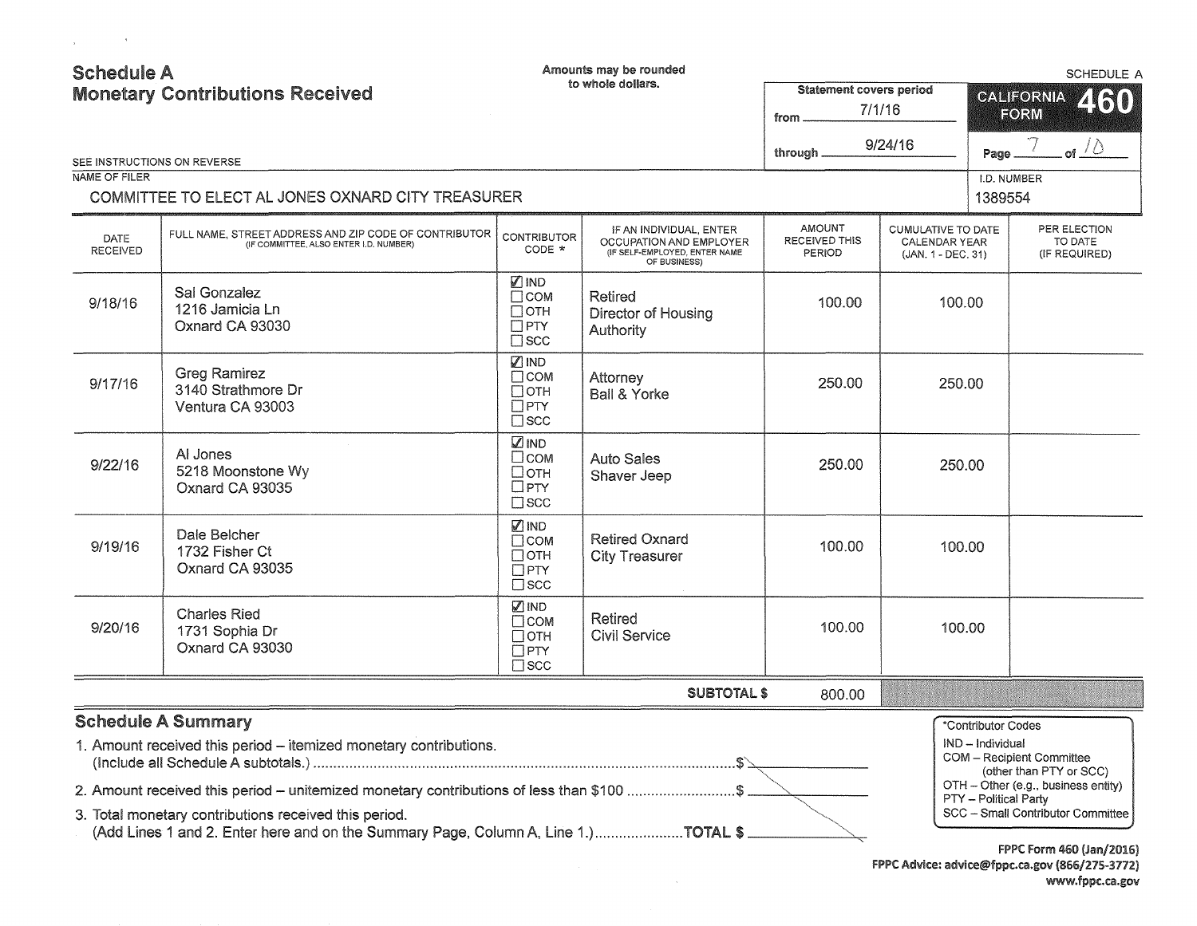| <b>Schedule A</b><br><b>Monetary Contributions Received</b> |                                                                                                                                                                                            |                                                                        | Amounts may be rounded<br>to whole dollars.<br>Statement covers period<br>7/1/16<br>from            |                                                 |                                                                  | <b>SCHEDULE A</b><br><b>CALIFORNIA</b><br>460<br>FORM |                                                                                             |
|-------------------------------------------------------------|--------------------------------------------------------------------------------------------------------------------------------------------------------------------------------------------|------------------------------------------------------------------------|-----------------------------------------------------------------------------------------------------|-------------------------------------------------|------------------------------------------------------------------|-------------------------------------------------------|---------------------------------------------------------------------------------------------|
|                                                             | SEE INSTRUCTIONS ON REVERSE                                                                                                                                                                |                                                                        |                                                                                                     | through _                                       | 9/24/16                                                          | Page                                                  | . of $\sqrt{2}$                                                                             |
| NAME OF FILER                                               | COMMITTEE TO ELECT AL JONES OXNARD CITY TREASURER                                                                                                                                          |                                                                        |                                                                                                     |                                                 |                                                                  | I.D. NUMBER<br>1389554                                |                                                                                             |
| DATE<br>RECEIVED                                            | FULL NAME, STREET ADDRESS AND ZIP CODE OF CONTRIBUTOR<br>(IF COMMITTEE, ALSO ENTER I.D. NUMBER)                                                                                            | <b>CONTRIBUTOR</b><br>CODE *                                           | IF AN INDIVIDUAL, ENTER<br>OCCUPATION AND EMPLOYER<br>(IF SELF-EMPLOYED, ENTER NAME<br>OF BUSINESS) | <b>AMOUNT</b><br><b>RECEIVED THIS</b><br>PERIOD | <b>CUMULATIVE TO DATE</b><br>CALENDAR YEAR<br>(JAN. 1 - DEC. 31) |                                                       | PER ELECTION<br>TO DATE<br>(IF REQUIRED)                                                    |
| 9/18/16                                                     | Sal Gonzalez<br>1216 Jamicia Ln<br>Oxnard CA 93030                                                                                                                                         | <b>VIND</b><br>$\Box$ COM<br>$\Box$ OTH<br>$\Box$ PTY<br>$\square$ scc | Retired<br>Director of Housing<br>Authority                                                         | 100.00                                          | 100.00                                                           |                                                       |                                                                                             |
| 9/17/16                                                     | <b>Greg Ramirez</b><br>3140 Strathmore Dr<br>Ventura CA 93003                                                                                                                              | $\nabla$ IND<br>Псом<br>$\Box$ OTH<br>$\Box$ PTY<br>$\square$ scc      | Attorney<br><b>Ball &amp; Yorke</b>                                                                 | 250.00                                          | 250.00                                                           |                                                       |                                                                                             |
| 9/22/16                                                     | AI Jones<br>5218 Moonstone Wy<br>Oxnard CA 93035                                                                                                                                           | <b>ZIND</b><br>$\square$ COM<br>□отн<br>$\Box$ PTY<br>$\square$ scc    | <b>Auto Sales</b><br>Shaver Jeep                                                                    | 250.00                                          | 250.00                                                           |                                                       |                                                                                             |
| 9/19/16                                                     | Dale Belcher<br>1732 Fisher Ct<br>Oxnard CA 93035                                                                                                                                          | ☑IND<br>$\Box$ COM<br>$\Box$ OTH<br>$\Box$ PTY<br>$\square$ scc        | <b>Retired Oxnard</b><br><b>City Treasurer</b>                                                      | 100.00                                          | 100.00                                                           |                                                       |                                                                                             |
| 9/20/16                                                     | <b>Charles Ried</b><br>1731 Sophia Dr<br>Oxnard CA 93030                                                                                                                                   | Ø IND<br>$\Box$ COM<br>$\Box$ OTH<br>$\Box$ PTY<br>$\Box$ SCC          | <b>Retired</b><br><b>Civil Service</b>                                                              | 100.00                                          | 100.00                                                           |                                                       |                                                                                             |
|                                                             |                                                                                                                                                                                            |                                                                        | <b>SUBTOTAL \$</b>                                                                                  | 800.00                                          |                                                                  |                                                       |                                                                                             |
|                                                             | <b>Schedule A Summary</b><br>1. Amount received this period - itemized monetary contributions.<br>2. Amount received this period – unitemized monetary contributions of less than \$100 \$ |                                                                        |                                                                                                     |                                                 |                                                                  | *Contributor Codes<br>IND - Individual                | COM - Recipient Committee<br>(other than PTY or SCC)<br>OTH - Other (e.g., business entity) |
|                                                             | 3. Total monetary contributions received this period.                                                                                                                                      |                                                                        |                                                                                                     |                                                 |                                                                  | PTY - Political Party                                 | SCC - Small Contributor Committee                                                           |

 $\sim$ 

3. Total monetary contributions received this period.

 $\sim 100$ 

 $\mathcal{A}^{\mathrm{max}}$ 

(Add Lines 1 and 2. Enter here and on the Summary Page, Column A, Line 1.).....................TOTAL \$

FPPC Form 460 (Jan/2016) FPPC Advice: advice@fppc.ca.gov (866/215-3172) www.fppc.ca.gov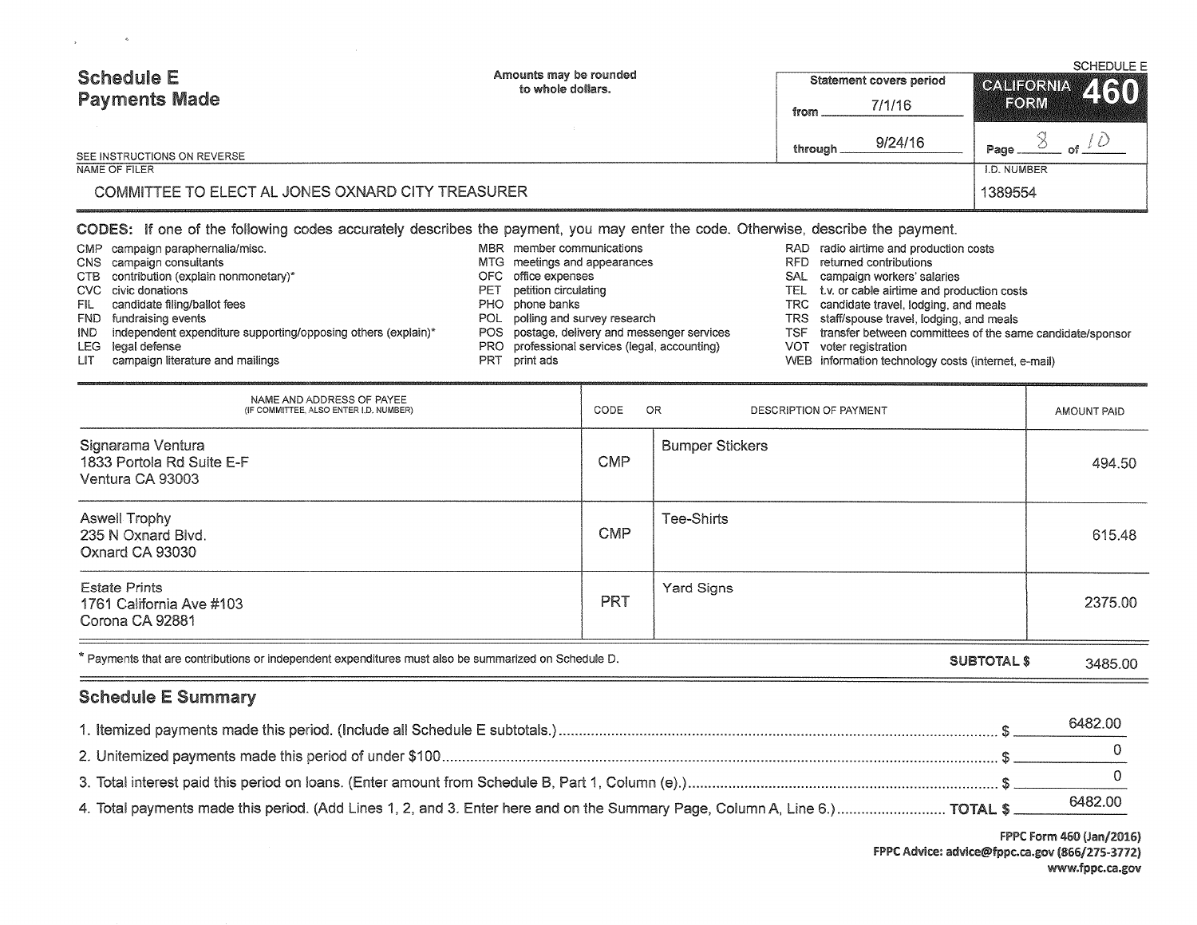| <b>Schedule E</b>                                 | Amounts may be rounded<br>to whole dollars.                                                                                     |          | <b>Statement covers period</b> | <b>SCHEDULE E</b><br>CALIFORNIA 460 |  |
|---------------------------------------------------|---------------------------------------------------------------------------------------------------------------------------------|----------|--------------------------------|-------------------------------------|--|
| <b>Payments Made</b>                              |                                                                                                                                 | from     | 7/1/16                         | FORM                                |  |
| SEE INSTRUCTIONS ON REVERSE                       |                                                                                                                                 | through. | 9/24/16                        | Page,                               |  |
| NAME OF FILER                                     |                                                                                                                                 |          |                                | I.D. NUMBER                         |  |
| COMMITTEE TO ELECT AL JONES OXNARD CITY TREASURER |                                                                                                                                 |          |                                | 1389554                             |  |
|                                                   | CODES: If one of the following codes accurately describes the payment, you may enter the code. Otherwise, describe the payment. |          |                                |                                     |  |

|      | CMP campaign paraphernalia/misc.                                  | MBR member communications                     |      | RAD radio airtime and production costs                    |
|------|-------------------------------------------------------------------|-----------------------------------------------|------|-----------------------------------------------------------|
|      | CNS campaign consultants                                          | MTG meetings and appearances                  | RFD. | returned contributions                                    |
|      | CTB contribution (explain nonmonetary)*                           | OFC office expenses                           | SAL  | campaign workers' salaries                                |
|      | CVC civic donations                                               | PET petition circulating                      |      | TEL t.v. or cable airlime and production costs            |
|      | FIL candidate filing/ballot fees                                  | PHO phone banks                               |      | TRC candidate travel, lodging, and meals                  |
|      | FND fundraising events                                            | POL polling and survey research               |      | TRS staff/spouse travel, lodging, and meals               |
|      | IND independent expenditure supporting/opposing others (explain)* | POS postage, delivery and messenger services  | TSF. | transfer between committees of the same candidate/sponsor |
|      | LEG legal defense                                                 | PRO professional services (legal, accounting) | VOT  | voter registration                                        |
| LIT. | campaign literature and mailings                                  | PRT print ads                                 |      | WEB information technology costs (internet, e-mail)       |

 $\mathcal{A}$ 

 $\mathbf{y}$  .

NAME AND ADDRESS OF PAYEE (IF COMMITTEE. ALSO ENTER l.D. NUMBER) CODE OR DESCRIPTION OF PAYMENT AMOUNT PAID Signarama Ventura **Bumper Stickers Bumper Stickers Bumper Stickers** 1833 Portola Rd Suite E-F Andreas Andreas Andreas Andreas Andreas Andreas Andreas Andreas Andreas Andreas Andreas A Ventura CA 93003 Aswell Trophy Tee-Shirts (Sample 1995) Aswell Trophy Tee-Shirts (Sample 1996) and the USA of the USA of the USA of the USA of the USA of the USA of the USA of the USA of the USA of the USA of the USA of the USA of the USA 235 N Oxnard Blvd. 615.48 Oxnard CA 93030 Estate Prints (State Prints) (State Prints (State Prints ) (State Prints ) (State Prints ) (State Signs ) (State Signs ) (State Signs ) (State Signs ) (State Signs ) (State Signs ) (State Signs ) (State Signs ) (State Sign 1761 California Ave #103 PRT 2375.00 Corona CA 92881 \*Payments that are contributions or independent expenditures must also be summarized on Schedule D. SUBTOTAL\$ 3485.00

## Schedule E Summary

|                                                                                                                             | 6482.00 |
|-----------------------------------------------------------------------------------------------------------------------------|---------|
|                                                                                                                             |         |
|                                                                                                                             |         |
| 4. Total payments made this period. (Add Lines 1, 2, and 3. Enter here and on the Summary Page, Column A, Line 6.) TOTAL \$ | 6482.00 |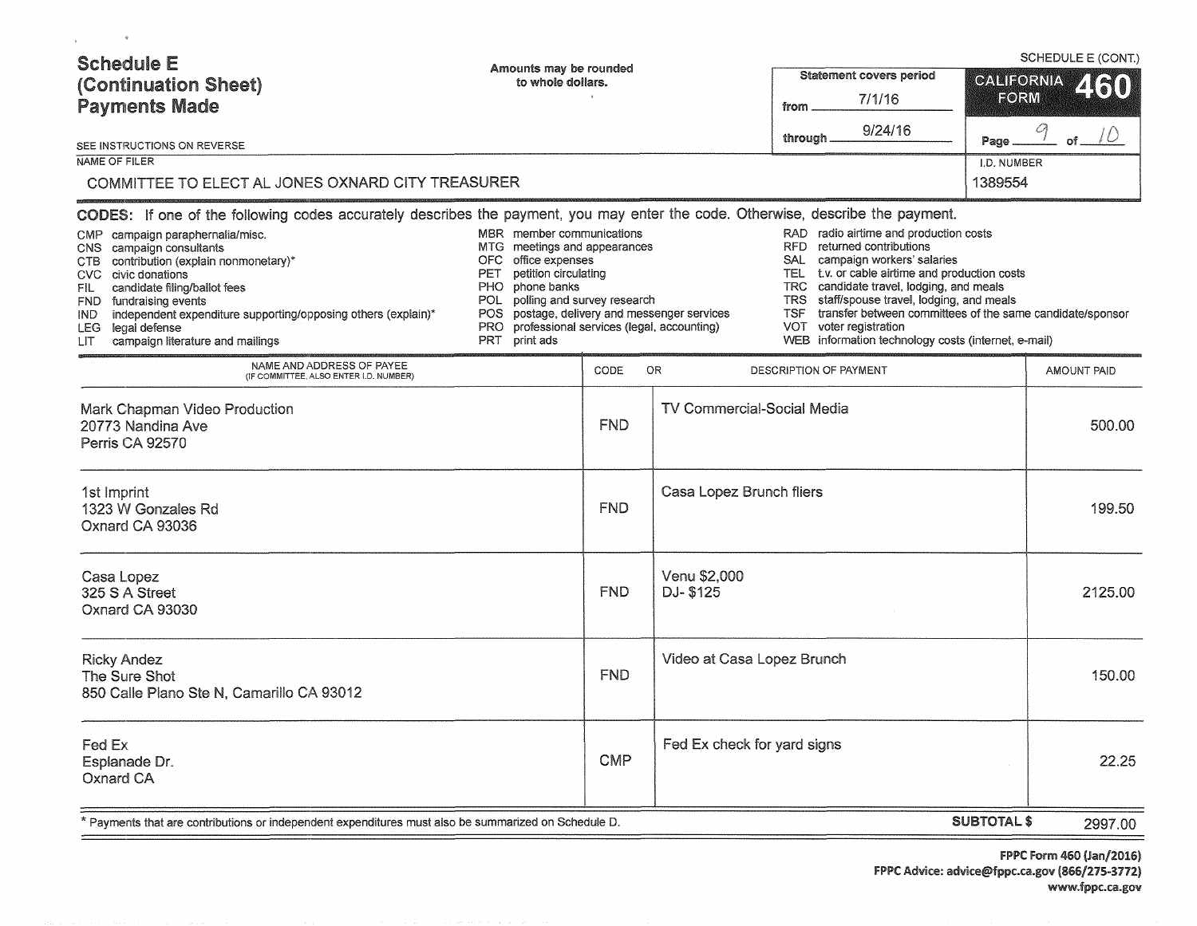| <b>Schedule E</b><br>(Continuation Sheet)<br><b>Payments Made</b><br>SEE INSTRUCTIONS ON REVERSE<br>NAME OF FILER                                                                                                                                                                                                                                                                                                                                                                                                                                                                                                                                                                                                                                                                                                                                                                                                                                                                                                                                                                                                                                                                                                                                                                 | Amounts may be rounded<br>to whole dollars. |                    |                                          | Statement covers period<br>7/1/16<br>from<br>9/24/16<br>through. | CALIFORNIA<br>FORM<br>Page<br>I.D. NUMBER | SCHEDULE E (CONT.)<br>2130<br>70<br>$of$ $-$ |
|-----------------------------------------------------------------------------------------------------------------------------------------------------------------------------------------------------------------------------------------------------------------------------------------------------------------------------------------------------------------------------------------------------------------------------------------------------------------------------------------------------------------------------------------------------------------------------------------------------------------------------------------------------------------------------------------------------------------------------------------------------------------------------------------------------------------------------------------------------------------------------------------------------------------------------------------------------------------------------------------------------------------------------------------------------------------------------------------------------------------------------------------------------------------------------------------------------------------------------------------------------------------------------------|---------------------------------------------|--------------------|------------------------------------------|------------------------------------------------------------------|-------------------------------------------|----------------------------------------------|
| 1389554<br>COMMITTEE TO ELECT AL JONES OXNARD CITY TREASURER<br>CODES: If one of the following codes accurately describes the payment, you may enter the code. Otherwise, describe the payment.<br>MBR member communications<br>RAD radio airtime and production costs<br>CMP<br>campaign paraphernalia/misc.<br>RFD returned contributions<br>MTG meetings and appearances<br>campaign consultants<br>CNS.<br>OFC office expenses<br>SAL campaign workers' salaries<br>CTB contribution (explain nonmonetary)*<br>TEL t.v. or cable airtime and production costs<br>petition circulating<br>PET<br>CVC civic donations<br>PHO phone banks<br>TRC candidate travel, lodging, and meals<br>candidate filing/ballot fees<br>FIL.<br>POL polling and survey research<br><b>TRS</b><br>staff/spouse travel, lodging, and meals<br>FND.<br>fundraising events<br>POS postage, delivery and messenger services<br>transfer between committees of the same candidate/sponsor<br>TSF<br>independent expenditure supporting/opposing others (explain)*<br>IND.<br>voter registration<br>PRO professional services (legal, accounting)<br>VOT  <br>LEG legal defense<br>WEB information technology costs (internet, e-mail)<br>PRT<br>print ads<br>campaign literature and mailings<br>LIT. |                                             |                    |                                          |                                                                  |                                           |                                              |
| NAME AND ADDRESS OF PAYEE<br>(IF COMMITTEE, ALSO ENTER I.D. NUMBER)<br>Mark Chapman Video Production<br>20773 Nandina Ave<br>Perris CA 92570                                                                                                                                                                                                                                                                                                                                                                                                                                                                                                                                                                                                                                                                                                                                                                                                                                                                                                                                                                                                                                                                                                                                      |                                             | CODE<br><b>FND</b> | OR.<br><b>TV Commercial-Social Media</b> | DESCRIPTION OF PAYMENT                                           |                                           | <b>AMOUNT PAID</b><br>500.00                 |
| 1st Imprint<br>1323 W Gonzales Rd<br>Oxnard CA 93036                                                                                                                                                                                                                                                                                                                                                                                                                                                                                                                                                                                                                                                                                                                                                                                                                                                                                                                                                                                                                                                                                                                                                                                                                              |                                             | <b>FND</b>         | Casa Lopez Brunch fliers                 |                                                                  |                                           | 199.50                                       |
| Casa Lopez<br>325 S A Street<br>Oxnard CA 93030                                                                                                                                                                                                                                                                                                                                                                                                                                                                                                                                                                                                                                                                                                                                                                                                                                                                                                                                                                                                                                                                                                                                                                                                                                   |                                             | <b>FND</b>         | Venu \$2,000<br>DJ-\$125                 |                                                                  |                                           | 2125.00                                      |
| <b>Ricky Andez</b><br>The Sure Shot<br>850 Calle Plano Ste N, Camarillo CA 93012                                                                                                                                                                                                                                                                                                                                                                                                                                                                                                                                                                                                                                                                                                                                                                                                                                                                                                                                                                                                                                                                                                                                                                                                  |                                             | <b>FND</b>         | Video at Casa Lopez Brunch               |                                                                  |                                           | 150.00                                       |
| Fed Ex<br>Esplanade Dr.<br>Oxnard CA                                                                                                                                                                                                                                                                                                                                                                                                                                                                                                                                                                                                                                                                                                                                                                                                                                                                                                                                                                                                                                                                                                                                                                                                                                              |                                             | <b>CMP</b>         | Fed Ex check for yard signs              |                                                                  |                                           | 22.25                                        |
| * Payments that are contributions or independent expenditures must also be summarized on Schedule D.                                                                                                                                                                                                                                                                                                                                                                                                                                                                                                                                                                                                                                                                                                                                                                                                                                                                                                                                                                                                                                                                                                                                                                              |                                             |                    |                                          |                                                                  | <b>SUBTOTAL \$</b>                        | 2997.00                                      |

 $\mathbf{q}$  and  $\mathbf{q}$  and  $\mathbf{q}$ 

FPPC Form 460 (Jan/2016) FPPC Advice: advice@fppc.ca.gov (866/275-3712) www.fppc.ca.gov